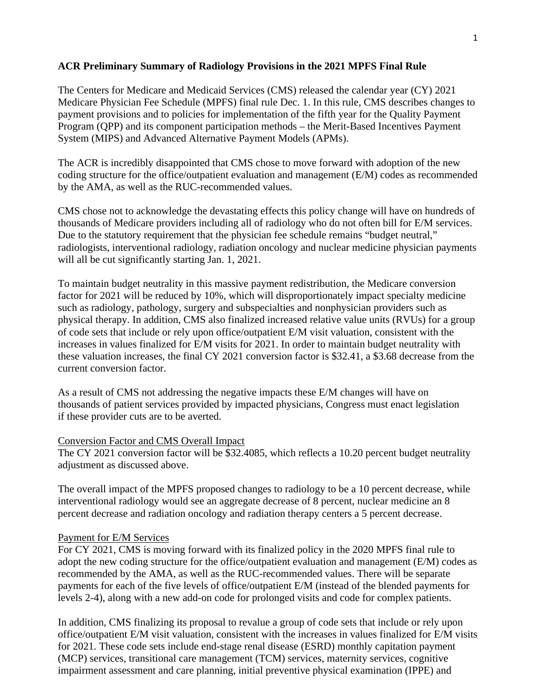## **ACR Preliminary Summary of Radiology Provisions in the 2021 MPFS Final Rule**

The Centers for Medicare and Medicaid Services (CMS) released the calendar year (CY) 2021 Medicare Physician Fee Schedule (MPFS) final rule Dec. 1. In this rule, CMS describes changes to payment provisions and to policies for implementation of the fifth year for the Quality Payment Program (QPP) and its component participation methods – the Merit-Based Incentives Payment System (MIPS) and Advanced Alternative Payment Models (APMs).

The ACR is incredibly disappointed that CMS chose to move forward with adoption of the new coding structure for the office/outpatient evaluation and management (E/M) codes as recommended by the AMA, as well as the RUC-recommended values.

CMS chose not to acknowledge the devastating effects this policy change will have on hundreds of thousands of Medicare providers including all of radiology who do not often bill for E/M services. Due to the statutory requirement that the physician fee schedule remains "budget neutral," radiologists, interventional radiology, radiation oncology and nuclear medicine physician payments will all be cut significantly starting Jan. 1, 2021.

To maintain budget neutrality in this massive payment redistribution, the Medicare conversion factor for 2021 will be reduced by 10%, which will disproportionately impact specialty medicine such as radiology, pathology, surgery and subspecialties and nonphysician providers such as physical therapy. In addition, CMS also finalized increased relative value units (RVUs) for a group of code sets that include or rely upon office/outpatient E/M visit valuation, consistent with the increases in values finalized for E/M visits for 2021. In order to maintain budget neutrality with these valuation increases, the final CY 2021 conversion factor is \$32.41, a \$3.68 decrease from the current conversion factor.

As a result of CMS not addressing the negative impacts these E/M changes will have on thousands of patient services provided by impacted physicians, Congress must enact legislation if these provider cuts are to be averted.

## Conversion Factor and CMS Overall Impact

The CY 2021 conversion factor will be \$32.4085, which reflects a 10.20 percent budget neutrality adjustment as discussed above.

The overall impact of the MPFS proposed changes to radiology to be a 10 percent decrease, while interventional radiology would see an aggregate decrease of 8 percent, nuclear medicine an 8 percent decrease and radiation oncology and radiation therapy centers a 5 percent decrease.

## Payment for E/M Services

For CY 2021, CMS is moving forward with its finalized policy in the 2020 MPFS final rule to adopt the new coding structure for the office/outpatient evaluation and management (E/M) codes as recommended by the AMA, as well as the RUC-recommended values. There will be separate payments for each of the five levels of office/outpatient E/M (instead of the blended payments for levels 2-4), along with a new add-on code for prolonged visits and code for complex patients.

In addition, CMS finalizing its proposal to revalue a group of code sets that include or rely upon office/outpatient E/M visit valuation, consistent with the increases in values finalized for E/M visits for 2021. These code sets include end-stage renal disease (ESRD) monthly capitation payment (MCP) services, transitional care management (TCM) services, maternity services, cognitive impairment assessment and care planning, initial preventive physical examination (IPPE) and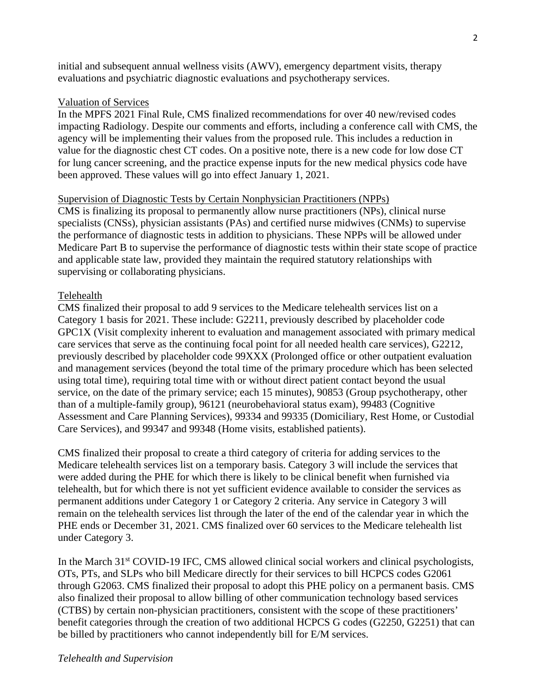initial and subsequent annual wellness visits (AWV), emergency department visits, therapy evaluations and psychiatric diagnostic evaluations and psychotherapy services.

## Valuation of Services

In the MPFS 2021 Final Rule, CMS finalized recommendations for over 40 new/revised codes impacting Radiology. Despite our comments and efforts, including a conference call with CMS, the agency will be implementing their values from the proposed rule. This includes a reduction in value for the diagnostic chest CT codes. On a positive note, there is a new code for low dose CT for lung cancer screening, and the practice expense inputs for the new medical physics code have been approved. These values will go into effect January 1, 2021.

## Supervision of Diagnostic Tests by Certain Nonphysician Practitioners (NPPs)

CMS is finalizing its proposal to permanently allow nurse practitioners (NPs), clinical nurse specialists (CNSs), physician assistants (PAs) and certified nurse midwives (CNMs) to supervise the performance of diagnostic tests in addition to physicians. These NPPs will be allowed under Medicare Part B to supervise the performance of diagnostic tests within their state scope of practice and applicable state law, provided they maintain the required statutory relationships with supervising or collaborating physicians.

## Telehealth

CMS finalized their proposal to add 9 services to the Medicare telehealth services list on a Category 1 basis for 2021. These include: G2211, previously described by placeholder code GPC1X (Visit complexity inherent to evaluation and management associated with primary medical care services that serve as the continuing focal point for all needed health care services), G2212, previously described by placeholder code 99XXX (Prolonged office or other outpatient evaluation and management services (beyond the total time of the primary procedure which has been selected using total time), requiring total time with or without direct patient contact beyond the usual service, on the date of the primary service; each 15 minutes), 90853 (Group psychotherapy, other than of a multiple-family group), 96121 (neurobehavioral status exam), 99483 (Cognitive Assessment and Care Planning Services), 99334 and 99335 (Domiciliary, Rest Home, or Custodial Care Services), and 99347 and 99348 (Home visits, established patients).

CMS finalized their proposal to create a third category of criteria for adding services to the Medicare telehealth services list on a temporary basis. Category 3 will include the services that were added during the PHE for which there is likely to be clinical benefit when furnished via telehealth, but for which there is not yet sufficient evidence available to consider the services as permanent additions under Category 1 or Category 2 criteria. Any service in Category 3 will remain on the telehealth services list through the later of the end of the calendar year in which the PHE ends or December 31, 2021. CMS finalized over 60 services to the Medicare telehealth list under Category 3.

In the March 31<sup>st</sup> COVID-19 IFC, CMS allowed clinical social workers and clinical psychologists, OTs, PTs, and SLPs who bill Medicare directly for their services to bill HCPCS codes G2061 through G2063. CMS finalized their proposal to adopt this PHE policy on a permanent basis. CMS also finalized their proposal to allow billing of other communication technology based services (CTBS) by certain non-physician practitioners, consistent with the scope of these practitioners' benefit categories through the creation of two additional HCPCS G codes (G2250, G2251) that can be billed by practitioners who cannot independently bill for E/M services.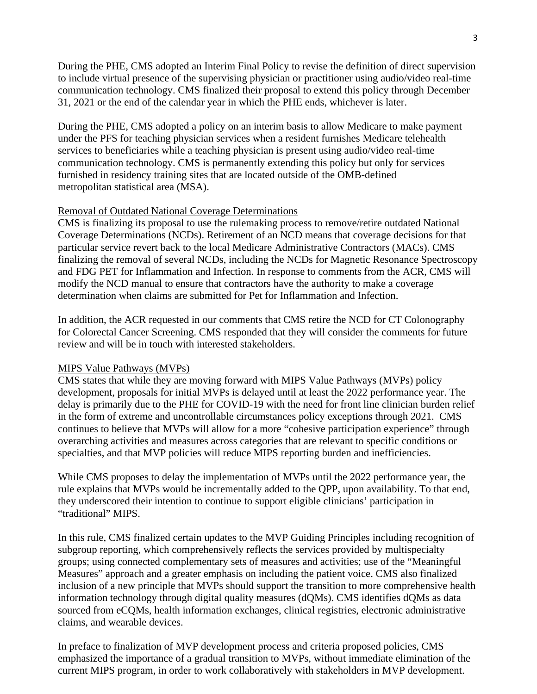During the PHE, CMS adopted an Interim Final Policy to revise the definition of direct supervision to include virtual presence of the supervising physician or practitioner using audio/video real-time communication technology. CMS finalized their proposal to extend this policy through December 31, 2021 or the end of the calendar year in which the PHE ends, whichever is later.

During the PHE, CMS adopted a policy on an interim basis to allow Medicare to make payment under the PFS for teaching physician services when a resident furnishes Medicare telehealth services to beneficiaries while a teaching physician is present using audio/video real-time communication technology. CMS is permanently extending this policy but only for services furnished in residency training sites that are located outside of the OMB-defined metropolitan statistical area (MSA).

## Removal of Outdated National Coverage Determinations

CMS is finalizing its proposal to use the rulemaking process to remove/retire outdated National Coverage Determinations (NCDs). Retirement of an NCD means that coverage decisions for that particular service revert back to the local Medicare Administrative Contractors (MACs). CMS finalizing the removal of several NCDs, including the NCDs for Magnetic Resonance Spectroscopy and FDG PET for Inflammation and Infection. In response to comments from the ACR, CMS will modify the NCD manual to ensure that contractors have the authority to make a coverage determination when claims are submitted for Pet for Inflammation and Infection.

In addition, the ACR requested in our comments that CMS retire the NCD for CT Colonography for Colorectal Cancer Screening. CMS responded that they will consider the comments for future review and will be in touch with interested stakeholders.

## MIPS Value Pathways (MVPs)

CMS states that while they are moving forward with MIPS Value Pathways (MVPs) policy development, proposals for initial MVPs is delayed until at least the 2022 performance year. The delay is primarily due to the PHE for COVID-19 with the need for front line clinician burden relief in the form of extreme and uncontrollable circumstances policy exceptions through 2021. CMS continues to believe that MVPs will allow for a more "cohesive participation experience" through overarching activities and measures across categories that are relevant to specific conditions or specialties, and that MVP policies will reduce MIPS reporting burden and inefficiencies.

While CMS proposes to delay the implementation of MVPs until the 2022 performance year, the rule explains that MVPs would be incrementally added to the QPP, upon availability. To that end, they underscored their intention to continue to support eligible clinicians' participation in "traditional" MIPS.

In this rule, CMS finalized certain updates to the MVP Guiding Principles including recognition of subgroup reporting, which comprehensively reflects the services provided by multispecialty groups; using connected complementary sets of measures and activities; use of the "Meaningful Measures" approach and a greater emphasis on including the patient voice. CMS also finalized inclusion of a new principle that MVPs should support the transition to more comprehensive health information technology through digital quality measures (dQMs). CMS identifies dQMs as data sourced from eCQMs, health information exchanges, clinical registries, electronic administrative claims, and wearable devices.

In preface to finalization of MVP development process and criteria proposed policies, CMS emphasized the importance of a gradual transition to MVPs, without immediate elimination of the current MIPS program, in order to work collaboratively with stakeholders in MVP development.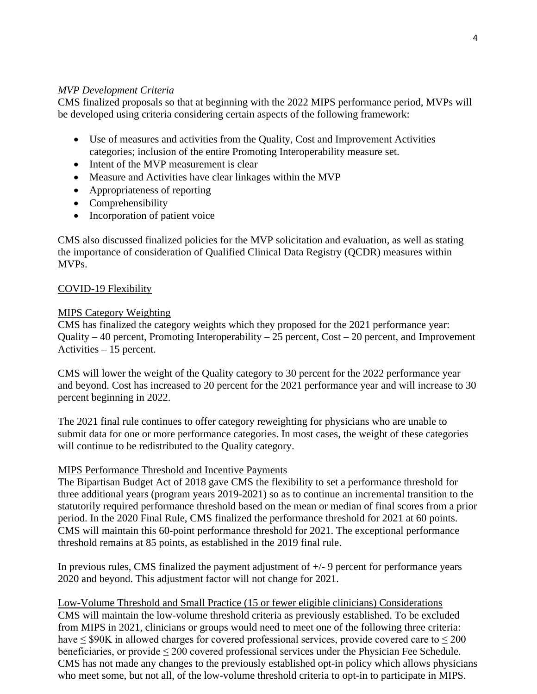# *MVP Development Criteria*

CMS finalized proposals so that at beginning with the 2022 MIPS performance period, MVPs will be developed using criteria considering certain aspects of the following framework:

- Use of measures and activities from the Quality, Cost and Improvement Activities categories; inclusion of the entire Promoting Interoperability measure set.
- Intent of the MVP measurement is clear
- Measure and Activities have clear linkages within the MVP
- Appropriateness of reporting
- Comprehensibility
- Incorporation of patient voice

CMS also discussed finalized policies for the MVP solicitation and evaluation, as well as stating the importance of consideration of Qualified Clinical Data Registry (QCDR) measures within MVPs.

# COVID-19 Flexibility

# MIPS Category Weighting

CMS has finalized the category weights which they proposed for the 2021 performance year: Quality – 40 percent, Promoting Interoperability – 25 percent, Cost – 20 percent, and Improvement Activities – 15 percent.

CMS will lower the weight of the Quality category to 30 percent for the 2022 performance year and beyond. Cost has increased to 20 percent for the 2021 performance year and will increase to 30 percent beginning in 2022.

The 2021 final rule continues to offer category reweighting for physicians who are unable to submit data for one or more performance categories. In most cases, the weight of these categories will continue to be redistributed to the Quality category.

# MIPS Performance Threshold and Incentive Payments

The Bipartisan Budget Act of 2018 gave CMS the flexibility to set a performance threshold for three additional years (program years 2019-2021) so as to continue an incremental transition to the statutorily required performance threshold based on the mean or median of final scores from a prior period. In the 2020 Final Rule, CMS finalized the performance threshold for 2021 at 60 points. CMS will maintain this 60-point performance threshold for 2021. The exceptional performance threshold remains at 85 points, as established in the 2019 final rule.

In previous rules, CMS finalized the payment adjustment of  $+/-9$  percent for performance years 2020 and beyond. This adjustment factor will not change for 2021.

Low-Volume Threshold and Small Practice (15 or fewer eligible clinicians) Considerations CMS will maintain the low-volume threshold criteria as previously established. To be excluded from MIPS in 2021, clinicians or groups would need to meet one of the following three criteria: have  $\leq$  \$90K in allowed charges for covered professional services, provide covered care to  $\leq$  200 beneficiaries, or provide ≤ 200 covered professional services under the Physician Fee Schedule. CMS has not made any changes to the previously established opt-in policy which allows physicians who meet some, but not all, of the low-volume threshold criteria to opt-in to participate in MIPS.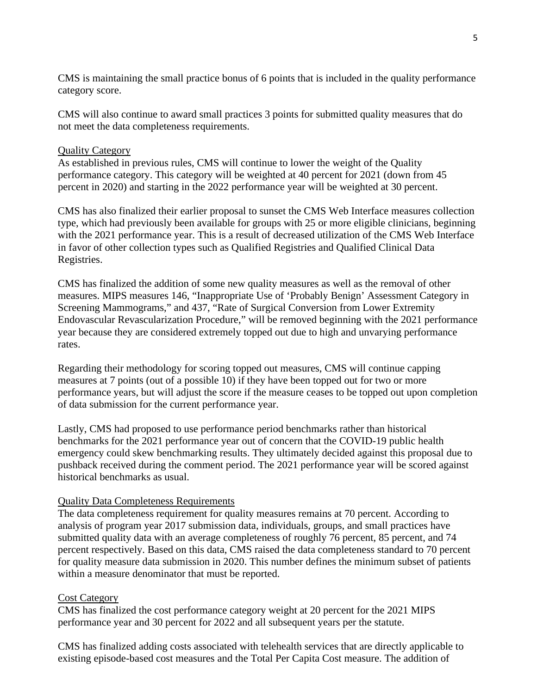CMS is maintaining the small practice bonus of 6 points that is included in the quality performance category score.

CMS will also continue to award small practices 3 points for submitted quality measures that do not meet the data completeness requirements.

## Quality Category

As established in previous rules, CMS will continue to lower the weight of the Quality performance category. This category will be weighted at 40 percent for 2021 (down from 45 percent in 2020) and starting in the 2022 performance year will be weighted at 30 percent.

CMS has also finalized their earlier proposal to sunset the CMS Web Interface measures collection type, which had previously been available for groups with 25 or more eligible clinicians, beginning with the 2021 performance year. This is a result of decreased utilization of the CMS Web Interface in favor of other collection types such as Qualified Registries and Qualified Clinical Data Registries.

CMS has finalized the addition of some new quality measures as well as the removal of other measures. MIPS measures 146, "Inappropriate Use of 'Probably Benign' Assessment Category in Screening Mammograms," and 437, "Rate of Surgical Conversion from Lower Extremity Endovascular Revascularization Procedure," will be removed beginning with the 2021 performance year because they are considered extremely topped out due to high and unvarying performance rates.

Regarding their methodology for scoring topped out measures, CMS will continue capping measures at 7 points (out of a possible 10) if they have been topped out for two or more performance years, but will adjust the score if the measure ceases to be topped out upon completion of data submission for the current performance year.

Lastly, CMS had proposed to use performance period benchmarks rather than historical benchmarks for the 2021 performance year out of concern that the COVID-19 public health emergency could skew benchmarking results. They ultimately decided against this proposal due to pushback received during the comment period. The 2021 performance year will be scored against historical benchmarks as usual.

## Quality Data Completeness Requirements

The data completeness requirement for quality measures remains at 70 percent. According to analysis of program year 2017 submission data, individuals, groups, and small practices have submitted quality data with an average completeness of roughly 76 percent, 85 percent, and 74 percent respectively. Based on this data, CMS raised the data completeness standard to 70 percent for quality measure data submission in 2020. This number defines the minimum subset of patients within a measure denominator that must be reported.

## Cost Category

CMS has finalized the cost performance category weight at 20 percent for the 2021 MIPS performance year and 30 percent for 2022 and all subsequent years per the statute.

CMS has finalized adding costs associated with telehealth services that are directly applicable to existing episode-based cost measures and the Total Per Capita Cost measure. The addition of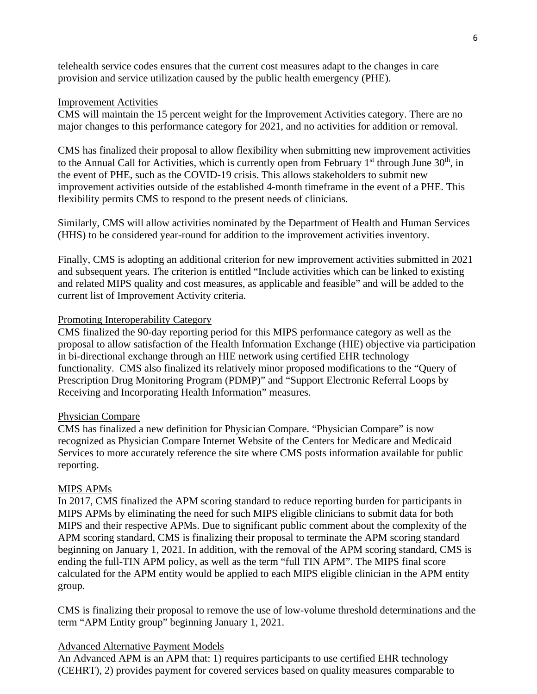telehealth service codes ensures that the current cost measures adapt to the changes in care provision and service utilization caused by the public health emergency (PHE).

#### Improvement Activities

CMS will maintain the 15 percent weight for the Improvement Activities category. There are no major changes to this performance category for 2021, and no activities for addition or removal.

CMS has finalized their proposal to allow flexibility when submitting new improvement activities to the Annual Call for Activities, which is currently open from February  $1<sup>st</sup>$  through June  $30<sup>th</sup>$ , in the event of PHE, such as the COVID-19 crisis. This allows stakeholders to submit new improvement activities outside of the established 4-month timeframe in the event of a PHE. This flexibility permits CMS to respond to the present needs of clinicians.

Similarly, CMS will allow activities nominated by the Department of Health and Human Services (HHS) to be considered year-round for addition to the improvement activities inventory.

Finally, CMS is adopting an additional criterion for new improvement activities submitted in 2021 and subsequent years. The criterion is entitled "Include activities which can be linked to existing and related MIPS quality and cost measures, as applicable and feasible" and will be added to the current list of Improvement Activity criteria.

#### Promoting Interoperability Category

CMS finalized the 90-day reporting period for this MIPS performance category as well as the proposal to allow satisfaction of the Health Information Exchange (HIE) objective via participation in bi-directional exchange through an HIE network using certified EHR technology functionality. CMS also finalized its relatively minor proposed modifications to the "Query of Prescription Drug Monitoring Program (PDMP)" and "Support Electronic Referral Loops by Receiving and Incorporating Health Information" measures.

#### Physician Compare

CMS has finalized a new definition for Physician Compare. "Physician Compare" is now recognized as Physician Compare Internet Website of the Centers for Medicare and Medicaid Services to more accurately reference the site where CMS posts information available for public reporting.

#### MIPS APMs

In 2017, CMS finalized the APM scoring standard to reduce reporting burden for participants in MIPS APMs by eliminating the need for such MIPS eligible clinicians to submit data for both MIPS and their respective APMs. Due to significant public comment about the complexity of the APM scoring standard, CMS is finalizing their proposal to terminate the APM scoring standard beginning on January 1, 2021. In addition, with the removal of the APM scoring standard, CMS is ending the full-TIN APM policy, as well as the term "full TIN APM". The MIPS final score calculated for the APM entity would be applied to each MIPS eligible clinician in the APM entity group.

CMS is finalizing their proposal to remove the use of low-volume threshold determinations and the term "APM Entity group" beginning January 1, 2021.

## Advanced Alternative Payment Models

An Advanced APM is an APM that: 1) requires participants to use certified EHR technology (CEHRT), 2) provides payment for covered services based on quality measures comparable to